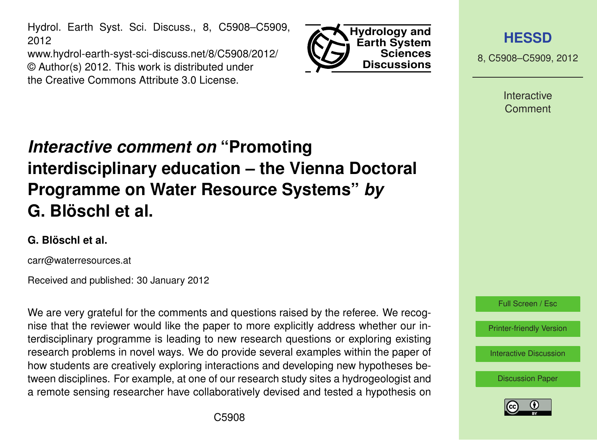Hydrol. Earth Syst. Sci. Discuss., 8, C5908–C5909, 2012

www.hydrol-earth-syst-sci-discuss.net/8/C5908/2012/ © Author(s) 2012. This work is distributed under the Creative Commons Attribute 3.0 License.



**[HESSD](http://www.hydrol-earth-syst-sci-discuss.net)**

8, C5908–C5909, 2012

Interactive Comment

## *Interactive comment on* **"Promoting interdisciplinary education – the Vienna Doctoral Programme on Water Resource Systems"** *by* **G. Blöschl et al.**

## **G. Blöschl et al.**

carr@waterresources.at

Received and published: 30 January 2012

We are very grateful for the comments and questions raised by the referee. We recognise that the reviewer would like the paper to more explicitly address whether our interdisciplinary programme is leading to new research questions or exploring existing research problems in novel ways. We do provide several examples within the paper of how students are creatively exploring interactions and developing new hypotheses between disciplines. For example, at one of our research study sites a hydrogeologist and a remote sensing researcher have collaboratively devised and tested a hypothesis on



[Discussion Paper](http://www.hydrol-earth-syst-sci-discuss.net/8/9843/2011/hessd-8-9843-2011.pdf)